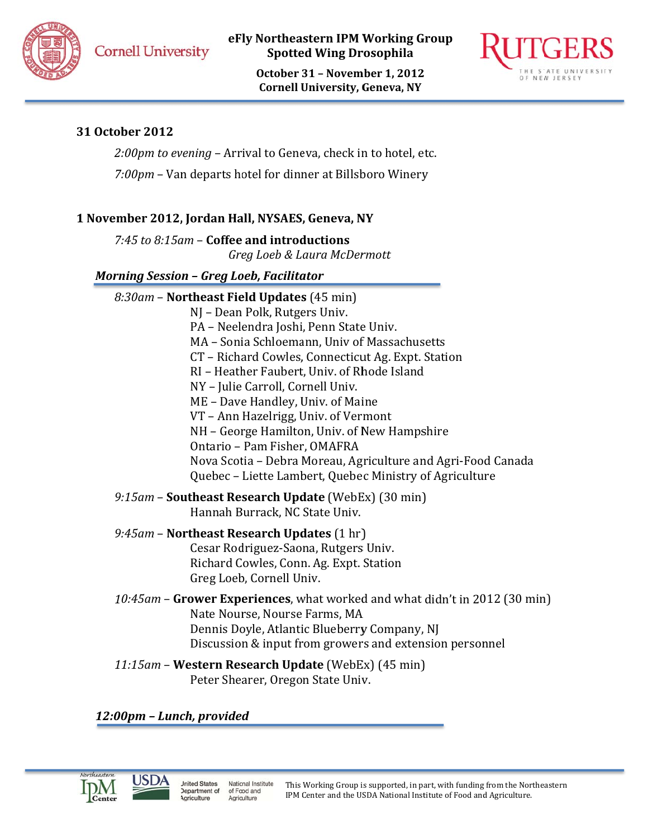**Cornell University** 

eFly Northeastern IPM Working Group **Spotted Wing Drosophila** 

> October 31 - November 1, 2012 **Cornell University, Geneva, NY**



# 31 October 2012

2:00pm to evening - Arrival to Geneva, check in to hotel, etc.

7:00pm - Van departs hotel for dinner at Billsboro Winery

# 1 November 2012, Jordan Hall, NYSAES, Geneva, NY

7:45 to 8:15am - Coffee and introductions Greg Loeb & Laura McDermott

# **Morning Session - Greg Loeb, Facilitator**

| NJ - Dean Polk, Rutgers Univ.<br>PA - Neelendra Joshi, Penn State Univ.<br>MA - Sonia Schloemann, Univ of Massachusetts |
|-------------------------------------------------------------------------------------------------------------------------|
|                                                                                                                         |
|                                                                                                                         |
|                                                                                                                         |
| CT - Richard Cowles, Connecticut Ag. Expt. Station                                                                      |
| RI - Heather Faubert, Univ. of Rhode Island                                                                             |
| NY - Julie Carroll, Cornell Univ.                                                                                       |
| ME – Dave Handley, Univ. of Maine                                                                                       |
| VT - Ann Hazelrigg, Univ. of Vermont                                                                                    |
| NH – George Hamilton, Univ. of New Hampshire                                                                            |
| Ontario - Pam Fisher, OMAFRA                                                                                            |
| Nova Scotia – Debra Moreau, Agriculture and Agri-Food Canada                                                            |
| Quebec - Liette Lambert, Quebec Ministry of Agriculture                                                                 |
| 9:15am – Southeast Research Update (WebEx) (30 min)<br>Hannah Burrack, NC State Univ.                                   |
| 9:45am – Northeast Research Updates $(1 \text{ hr})$                                                                    |
| Cesar Rodriguez-Saona, Rutgers Univ.                                                                                    |
| Richard Cowles, Conn. Ag. Expt. Station                                                                                 |
| Greg Loeb, Cornell Univ.                                                                                                |
| 10:45am – Grower Experiences, what worked and what didn't in 2012 (30 min)                                              |
| Nate Nourse, Nourse Farms, MA                                                                                           |
| Dennis Doyle, Atlantic Blueberry Company, NJ                                                                            |
| Discussion & input from growers and extension personnel                                                                 |
| 11:15am – Western Research Update (WebEx) (45 min)<br>Peter Shearer, Oregon State Univ.                                 |

12:00pm - Lunch, provided